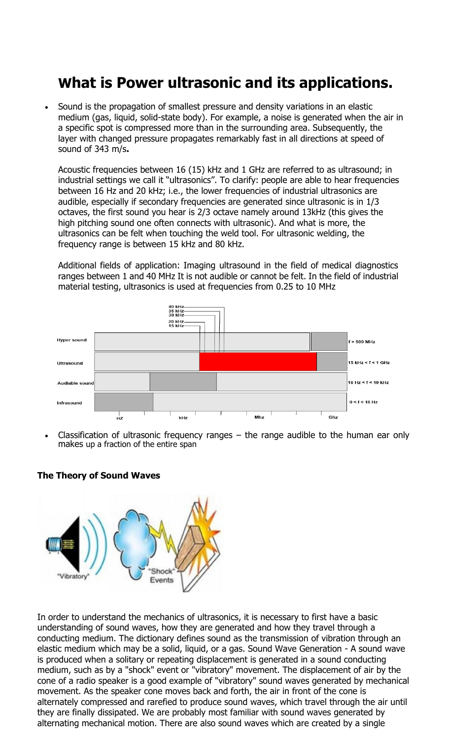# **What is Power ultrasonic and its applications.**

• Sound is the propagation of smallest pressure and density variations in an elastic medium (gas, liquid, solid-state body). For example, a noise is generated when the air in a specific spot is compressed more than in the surrounding area. Subsequently, the layer with changed pressure propagates remarkably fast in all directions at speed of sound of 343 m/s**.**

Acoustic frequencies between 16 (15) kHz and 1 GHz are referred to as ultrasound; in industrial settings we call it "ultrasonics". To clarify: people are able to hear frequencies between 16 Hz and 20 kHz; i.e., the lower frequencies of industrial ultrasonics are audible, especially if secondary frequencies are generated since ultrasonic is in 1/3 octaves, the first sound you hear is 2/3 octave namely around 13kHz (this gives the high pitching sound one often connects with ultrasonic). And what is more, the ultrasonics can be felt when touching the weld tool. For ultrasonic welding, the frequency range is between 15 kHz and 80 kHz.

Additional fields of application: Imaging ultrasound in the field of medical diagnostics ranges between 1 and 40 MHz It is not audible or cannot be felt. In the field of industrial material testing, ultrasonics is used at frequencies from 0.25 to 10 MHz



Classification of ultrasonic frequency ranges  $-$  the range audible to the human ear only makes up a fraction of the entire span

#### **The Theory of Sound Waves**



In order to understand the mechanics of ultrasonics, it is necessary to first have a basic understanding of sound waves, how they are generated and how they travel through a conducting medium. The dictionary defines sound as the transmission of vibration through an elastic medium which may be a solid, liquid, or a gas. Sound Wave Generation - A sound wave is produced when a solitary or repeating displacement is generated in a sound conducting medium, such as by a "shock" event or "vibratory" movement. The displacement of air by the cone of a radio speaker is a good example of "vibratory" sound waves generated by mechanical movement. As the speaker cone moves back and forth, the air in front of the cone is alternately compressed and rarefied to produce sound waves, which travel through the air until they are finally dissipated. We are probably most familiar with sound waves generated by alternating mechanical motion. There are also sound waves which are created by a single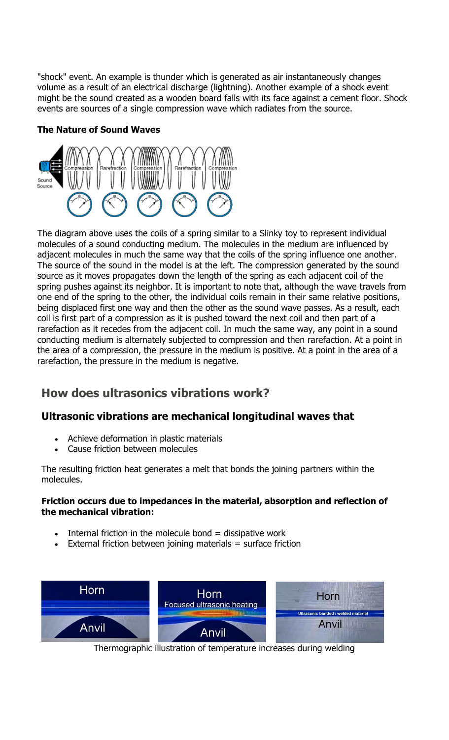"shock" event. An example is thunder which is generated as air instantaneously changes volume as a result of an electrical discharge (lightning). Another example of a shock event might be the sound created as a wooden board falls with its face against a cement floor. Shock events are sources of a single compression wave which radiates from the source.

### **The Nature of Sound Waves**



The diagram above uses the coils of a spring similar to a Slinky toy to represent individual molecules of a sound conducting medium. The molecules in the medium are influenced by adjacent molecules in much the same way that the coils of the spring influence one another. The source of the sound in the model is at the left. The compression generated by the sound source as it moves propagates down the length of the spring as each adjacent coil of the spring pushes against its neighbor. It is important to note that, although the wave travels from one end of the spring to the other, the individual coils remain in their same relative positions, being displaced first one way and then the other as the sound wave passes. As a result, each coil is first part of a compression as it is pushed toward the next coil and then part of a rarefaction as it recedes from the adjacent coil. In much the same way, any point in a sound conducting medium is alternately subjected to compression and then rarefaction. At a point in the area of a compression, the pressure in the medium is positive. At a point in the area of a rarefaction, the pressure in the medium is negative.

# **How does ultrasonics vibrations work?**

## **Ultrasonic vibrations are mechanical longitudinal waves that**

- Achieve deformation in plastic materials
- Cause friction between molecules

The resulting friction heat generates a melt that bonds the joining partners within the molecules.

### **Friction occurs due to impedances in the material, absorption and reflection of the mechanical vibration:**

- Internal friction in the molecule bond  $=$  dissipative work
- External friction between joining materials = surface friction



Thermographic illustration of temperature increases during welding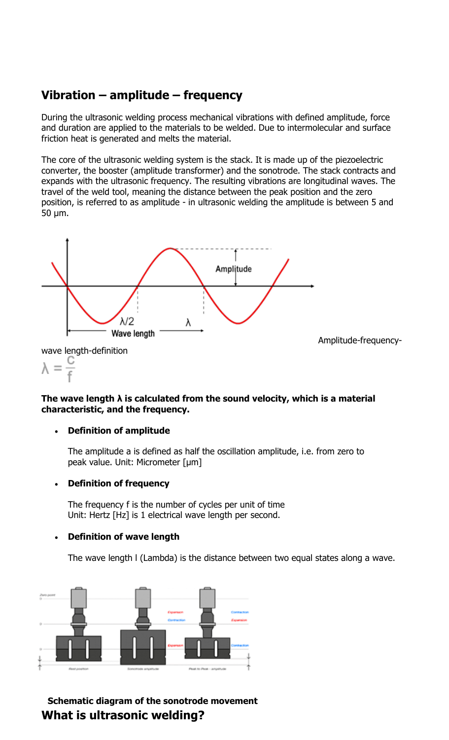# **Vibration – amplitude – frequency**

During the ultrasonic welding process mechanical vibrations with defined amplitude, force and duration are applied to the materials to be welded. Due to intermolecular and surface friction heat is generated and melts the material.

The core of the ultrasonic welding system is the stack. It is made up of the piezoelectric converter, the booster (amplitude transformer) and the sonotrode. The stack contracts and expands with the ultrasonic frequency. The resulting vibrations are longitudinal waves. The travel of the weld tool, meaning the distance between the peak position and the zero position, is referred to as amplitude - in ultrasonic welding the amplitude is between 5 and 50 μm.



### **The wave length λ is calculated from the sound velocity, which is a material characteristic, and the frequency.**

#### • **Definition of amplitude**

The amplitude a is defined as half the oscillation amplitude, i.e. from zero to peak value. Unit: Micrometer [µm]

#### • **Definition of frequency**

The frequency f is the number of cycles per unit of time Unit: Hertz [Hz] is 1 electrical wave length per second.

#### • **Definition of wave length**

The wave length l (Lambda) is the distance between two equal states along a wave.



## **Schematic diagram of the sonotrode movement What is ultrasonic welding?**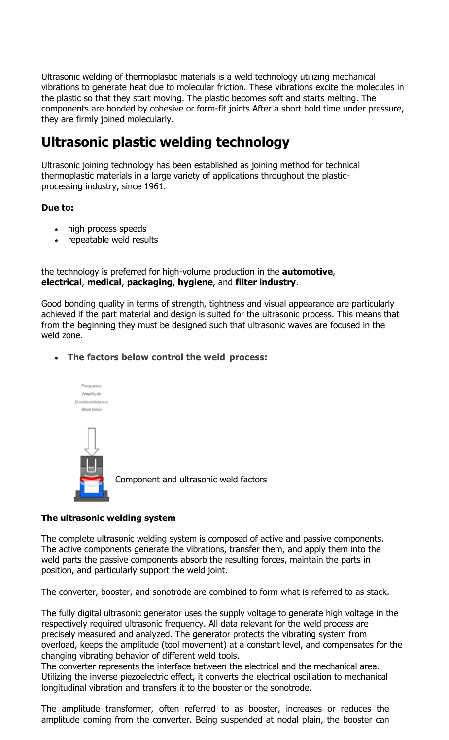Ultrasonic welding of thermoplastic materials is a weld technology utilizing mechanical vibrations to generate heat due to molecular friction. These vibrations excite the molecules in the plastic so that they start moving. The plastic becomes soft and starts melting. The components are bonded by cohesive or form-fit joints After a short hold time under pressure, they are firmly joined molecularly.

# **Ultrasonic plastic welding technology**

Ultrasonic joining technology has been established as joining method for technical thermoplastic materials in a large variety of applications throughout the plasticprocessing industry, since 1961.

### **Due to:**

- high process speeds
- repeatable weld results

the technology is preferred for high-volume production in the **automotive**, **electrical**, **medical**, **packaging**, **hygiene**, and **filter industry**.

Good bonding quality in terms of strength, tightness and visual appearance are particularly achieved if the part material and design is suited for the ultrasonic process. This means that from the beginning they must be designed such that ultrasonic waves are focused in the weld zone.

• **The factors below control the weld process:**



#### **The ultrasonic welding system**

The complete ultrasonic welding system is composed of active and passive components. The active components generate the vibrations, transfer them, and apply them into the weld parts the passive components absorb the resulting forces, maintain the parts in position, and particularly support the weld joint.

The converter, booster, and sonotrode are combined to form what is referred to as stack.

The fully digital ultrasonic generator uses the supply voltage to generate high voltage in the respectively required ultrasonic frequency. All data relevant for the weld process are precisely measured and analyzed. The generator protects the vibrating system from overload, keeps the amplitude (tool movement) at a constant level, and compensates for the changing vibrating behavior of different weld tools.

The converter represents the interface between the electrical and the mechanical area. Utilizing the inverse piezoelectric effect, it converts the electrical oscillation to mechanical longitudinal vibration and transfers it to the booster or the sonotrode.

The amplitude transformer, often referred to as booster, increases or reduces the amplitude coming from the converter. Being suspended at nodal plain, the booster can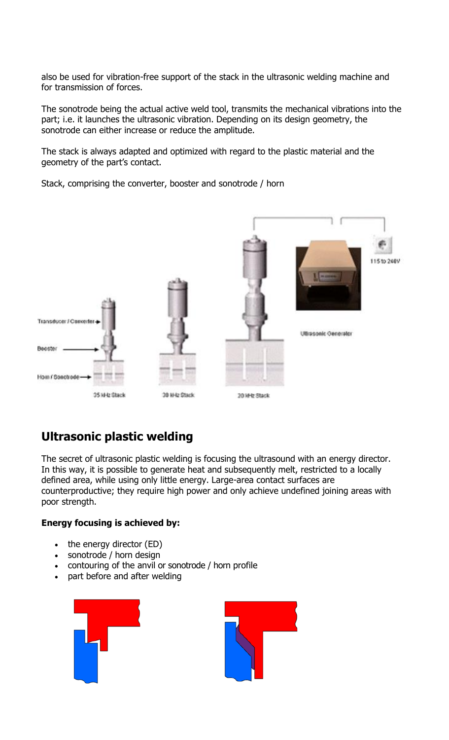also be used for vibration-free support of the stack in the ultrasonic welding machine and for transmission of forces.

The sonotrode being the actual active weld tool, transmits the mechanical vibrations into the part; i.e. it launches the ultrasonic vibration. Depending on its design geometry, the sonotrode can either increase or reduce the amplitude.

The stack is always adapted and optimized with regard to the plastic material and the geometry of the part's contact.

Stack, comprising the converter, booster and sonotrode / horn



# **Ultrasonic plastic welding**

The secret of ultrasonic plastic welding is focusing the ultrasound with an energy director. In this way, it is possible to generate heat and subsequently melt, restricted to a locally defined area, while using only little energy. Large-area contact surfaces are counterproductive; they require high power and only achieve undefined joining areas with poor strength.

### **Energy focusing is achieved by:**

- the energy director (ED)
- sonotrode / horn design
- contouring of the anvil or sonotrode / horn profile
- part before and after welding

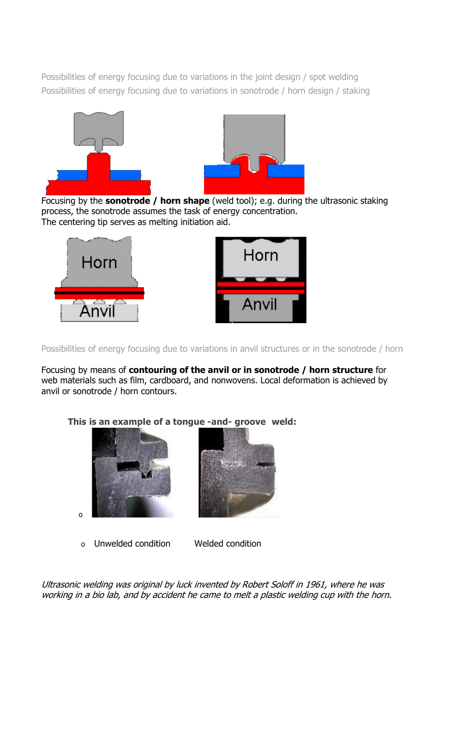Possibilities of energy focusing due to variations in the joint design / spot welding Possibilities of energy focusing due to variations in sonotrode / horn design / staking





Focusing by the **sonotrode / horn shape** (weld tool); e.g. during the ultrasonic staking process, the sonotrode assumes the task of energy concentration. The centering tip serves as melting initiation aid.





Possibilities of energy focusing due to variations in anvil structures or in the sonotrode / horn

Focusing by means of **contouring of the anvil or in sonotrode / horn structure** for web materials such as film, cardboard, and nonwovens. Local deformation is achieved by anvil or sonotrode / horn contours.

**This is an example of a tongue -and- groove weld:**



o Unwelded condition Welded condition



Ultrasonic welding was original by luck invented by Robert Soloff in 1961, where he was working in a bio lab, and by accident he came to melt a plastic welding cup with the horn.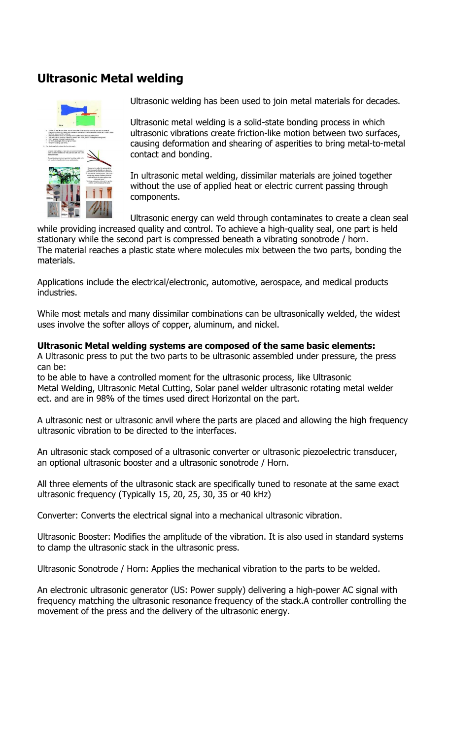# **Ultrasonic Metal welding**



Ultrasonic welding has been used to join metal materials for decades.

Ultrasonic metal welding is a solid-state bonding process in which ultrasonic vibrations create friction-like motion between two surfaces, causing deformation and shearing of asperities to bring metal-to-metal contact and bonding.

In ultrasonic metal welding, dissimilar materials are joined together without the use of applied heat or electric current passing through components.

Ultrasonic energy can weld through contaminates to create a clean seal while providing increased quality and control. To achieve a high-quality seal, one part is held stationary while the second part is compressed beneath a vibrating sonotrode / horn. The material reaches a plastic state where molecules mix between the two parts, bonding the materials.

Applications include the electrical/electronic, automotive, aerospace, and medical products industries.

While most metals and many dissimilar combinations can be ultrasonically welded, the widest uses involve the softer alloys of copper, aluminum, and nickel.

### **Ultrasonic Metal welding systems are composed of the same basic elements:**

A Ultrasonic press to put the two parts to be ultrasonic assembled under pressure, the press can be:

to be able to have a controlled moment for the ultrasonic process, like Ultrasonic Metal Welding, Ultrasonic Metal Cutting, Solar panel welder ultrasonic rotating metal welder ect. and are in 98% of the times used direct Horizontal on the part.

A ultrasonic nest or ultrasonic anvil where the parts are placed and allowing the high frequency ultrasonic vibration to be directed to the interfaces.

An ultrasonic stack composed of a ultrasonic converter or ultrasonic piezoelectric transducer, an optional ultrasonic booster and a ultrasonic sonotrode / Horn.

All three elements of the ultrasonic stack are specifically tuned to resonate at the same exact ultrasonic frequency (Typically 15, 20, 25, 30, 35 or 40 kHz)

Converter: Converts the electrical signal into a mechanical ultrasonic vibration.

Ultrasonic Booster: Modifies the amplitude of the vibration. It is also used in standard systems to clamp the ultrasonic stack in the ultrasonic press.

Ultrasonic Sonotrode / Horn: Applies the mechanical vibration to the parts to be welded.

An electronic ultrasonic generator (US: Power supply) delivering a high-power AC signal with frequency matching the ultrasonic resonance frequency of the stack.A controller controlling the movement of the press and the delivery of the ultrasonic energy.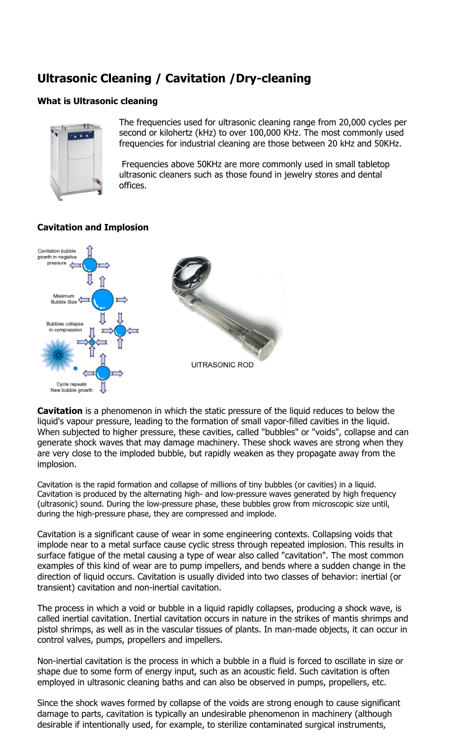# **Ultrasonic Cleaning / Cavitation /Dry-cleaning**

### **What is Ultrasonic cleaning**



The frequencies used for ultrasonic cleaning range from 20,000 cycles per second or kilohertz (kHz) to over 100,000 KHz. The most commonly used frequencies for industrial cleaning are those between 20 kHz and 50KHz.

Frequencies above 50KHz are more commonly used in small tabletop ultrasonic cleaners such as those found in jewelry stores and dental offices.

## **Cavitation and Implosion**



**Cavitation** is a phenomenon in which the static pressure of the liquid reduces to below the liquid's vapour pressure, leading to the formation of small vapor-filled cavities in the liquid. When subjected to higher pressure, these cavities, called "bubbles" or "voids", collapse and can generate shock waves that may damage machinery. These shock waves are strong when they are very close to the imploded bubble, but rapidly weaken as they propagate away from the implosion.

Cavitation is the rapid formation and collapse of millions of tiny bubbles (or cavities) in a liquid. Cavitation is produced by the alternating high- and low-pressure waves generated by high frequency (ultrasonic) sound. During the low-pressure phase, these bubbles grow from microscopic size until, during the high-pressure phase, they are compressed and implode.

Cavitation is a significant cause of wear in some engineering contexts. Collapsing voids that implode near to a metal surface cause cyclic stress through repeated implosion. This results in surface fatigue of the metal causing a type of wear also called "cavitation". The most common examples of this kind of wear are to pump impellers, and bends where a sudden change in the direction of liquid occurs. Cavitation is usually divided into two classes of behavior: inertial (or transient) cavitation and non-inertial cavitation.

The process in which a void or bubble in a liquid rapidly collapses, producing a shock wave, is called inertial cavitation. Inertial cavitation occurs in nature in the strikes of mantis shrimps and pistol shrimps, as well as in the vascular tissues of plants. In man-made objects, it can occur in control valves, pumps, propellers and impellers.

Non-inertial cavitation is the process in which a bubble in a fluid is forced to oscillate in size or shape due to some form of energy input, such as an acoustic field. Such cavitation is often employed in ultrasonic cleaning baths and can also be observed in pumps, propellers, etc.

Since the shock waves formed by collapse of the voids are strong enough to cause significant damage to parts, cavitation is typically an undesirable phenomenon in machinery (although desirable if intentionally used, for example, to sterilize contaminated surgical instruments,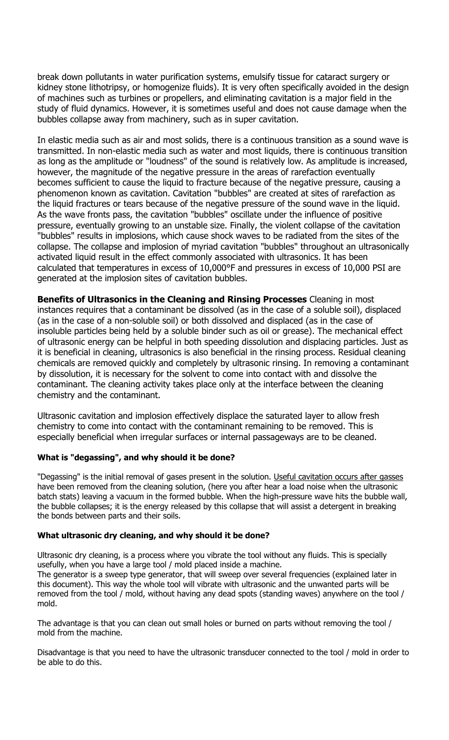break down pollutants in water purification systems, emulsify tissue for cataract surgery or kidney stone lithotripsy, or homogenize fluids). It is very often specifically avoided in the design of machines such as turbines or propellers, and eliminating cavitation is a major field in the study of fluid dynamics. However, it is sometimes useful and does not cause damage when the bubbles collapse away from machinery, such as in super cavitation.

In elastic media such as air and most solids, there is a continuous transition as a sound wave is transmitted. In non-elastic media such as water and most liquids, there is continuous transition as long as the amplitude or "loudness" of the sound is relatively low. As amplitude is increased, however, the magnitude of the negative pressure in the areas of rarefaction eventually becomes sufficient to cause the liquid to fracture because of the negative pressure, causing a phenomenon known as cavitation. Cavitation "bubbles" are created at sites of rarefaction as the liquid fractures or tears because of the negative pressure of the sound wave in the liquid. As the wave fronts pass, the cavitation "bubbles" oscillate under the influence of positive pressure, eventually growing to an unstable size. Finally, the violent collapse of the cavitation "bubbles" results in implosions, which cause shock waves to be radiated from the sites of the collapse. The collapse and implosion of myriad cavitation "bubbles" throughout an ultrasonically activated liquid result in the effect commonly associated with ultrasonics. It has been calculated that temperatures in excess of 10,000°F and pressures in excess of 10,000 PSI are generated at the implosion sites of cavitation bubbles.

**Benefits of Ultrasonics in the Cleaning and Rinsing Processes** Cleaning in most instances requires that a contaminant be dissolved (as in the case of a soluble soil), displaced (as in the case of a non-soluble soil) or both dissolved and displaced (as in the case of insoluble particles being held by a soluble binder such as oil or grease). The mechanical effect of ultrasonic energy can be helpful in both speeding dissolution and displacing particles. Just as it is beneficial in cleaning, ultrasonics is also beneficial in the rinsing process. Residual cleaning chemicals are removed quickly and completely by ultrasonic rinsing. In removing a contaminant by dissolution, it is necessary for the solvent to come into contact with and dissolve the contaminant. The cleaning activity takes place only at the interface between the cleaning chemistry and the contaminant.

Ultrasonic cavitation and implosion effectively displace the saturated layer to allow fresh chemistry to come into contact with the contaminant remaining to be removed. This is especially beneficial when irregular surfaces or internal passageways are to be cleaned.

#### **What is "degassing", and why should it be done?**

"Degassing" is the initial removal of gases present in the solution. Useful cavitation occurs after gasses have been removed from the cleaning solution, (here you after hear a load noise when the ultrasonic batch stats) leaving a vacuum in the formed bubble. When the high-pressure wave hits the bubble wall, the bubble collapses; it is the energy released by this collapse that will assist a detergent in breaking the bonds between parts and their soils.

#### **What ultrasonic dry cleaning, and why should it be done?**

Ultrasonic dry cleaning, is a process where you vibrate the tool without any fluids. This is specially usefully, when you have a large tool / mold placed inside a machine. The generator is a sweep type generator, that will sweep over several frequencies (explained later in

this document). This way the whole tool will vibrate with ultrasonic and the unwanted parts will be removed from the tool / mold, without having any dead spots (standing waves) anywhere on the tool / mold.

The advantage is that you can clean out small holes or burned on parts without removing the tool / mold from the machine.

Disadvantage is that you need to have the ultrasonic transducer connected to the tool / mold in order to be able to do this.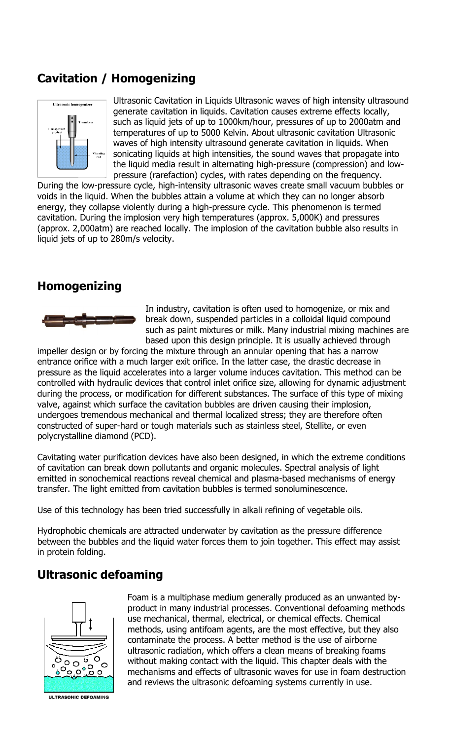# **Cavitation / Homogenizing**



Ultrasonic Cavitation in Liquids Ultrasonic waves of high intensity ultrasound generate cavitation in liquids. Cavitation causes extreme effects locally, such as liquid jets of up to 1000km/hour, pressures of up to 2000atm and temperatures of up to 5000 Kelvin. About ultrasonic cavitation Ultrasonic waves of high intensity ultrasound generate cavitation in liquids. When sonicating liquids at high intensities, the sound waves that propagate into the liquid media result in alternating high-pressure (compression) and lowpressure (rarefaction) cycles, with rates depending on the frequency.

During the low-pressure cycle, high-intensity ultrasonic waves create small vacuum bubbles or voids in the liquid. When the bubbles attain a volume at which they can no longer absorb energy, they collapse violently during a high-pressure cycle. This phenomenon is termed cavitation. During the implosion very high temperatures (approx. 5,000K) and pressures (approx. 2,000atm) are reached locally. The implosion of the cavitation bubble also results in liquid jets of up to 280m/s velocity.

# **Homogenizing**



In industry, cavitation is often used to homogenize, or mix and break down, suspended particles in a colloidal liquid compound such as paint mixtures or milk. Many industrial mixing machines are based upon this design principle. It is usually achieved through

impeller design or by forcing the mixture through an annular opening that has a narrow entrance orifice with a much larger exit orifice. In the latter case, the drastic decrease in pressure as the liquid accelerates into a larger volume induces cavitation. This method can be controlled with hydraulic devices that control inlet orifice size, allowing for dynamic adjustment during the process, or modification for different substances. The surface of this type of mixing valve, against which surface the cavitation bubbles are driven causing their implosion, undergoes tremendous mechanical and thermal localized stress; they are therefore often constructed of super-hard or tough materials such as stainless steel, Stellite, or even polycrystalline diamond (PCD).

Cavitating water purification devices have also been designed, in which the extreme conditions of cavitation can break down pollutants and organic molecules. Spectral analysis of light emitted in [sonochemical reactions](https://en.wikipedia.org/wiki/Sonochemistry) reveal chemical and plasma-based mechanisms of energy transfer. The light emitted from cavitation bubbles is termed sonoluminescence.

Use of this technology has been tried successfully in alkali refining of vegetable oils.

Hydrophobic chemicals are attracted underwater by cavitation as the pressure difference between the bubbles and the liquid water forces them to join together. This effect may assist in protein folding.

# **Ultrasonic defoaming**



Foam is a multiphase medium generally produced as an unwanted byproduct in many industrial processes. Conventional defoaming methods use mechanical, thermal, electrical, or chemical effects. Chemical methods, using antifoam agents, are the most effective, but they also contaminate the process. A better method is the use of airborne ultrasonic radiation, which offers a clean means of breaking foams without making contact with the liquid. This chapter deals with the mechanisms and effects of ultrasonic waves for use in foam destruction and reviews the ultrasonic defoaming systems currently in use.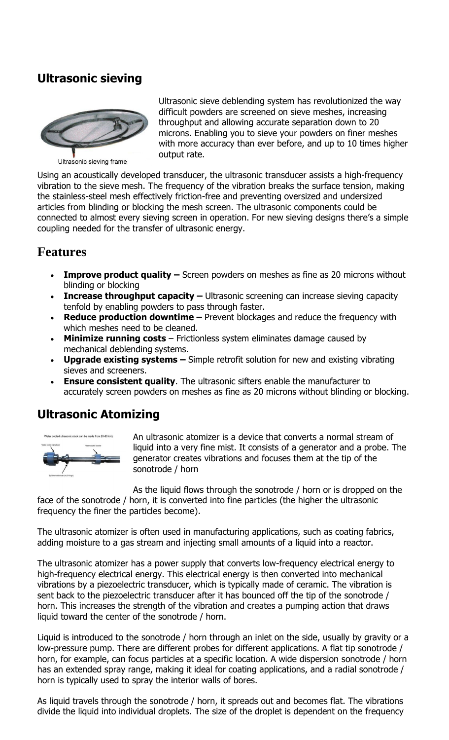# **Ultrasonic sieving**



Ultrasonic sieving frame

Ultrasonic sieve deblending system has revolutionized the way difficult powders are screened on sieve meshes, increasing throughput and allowing accurate separation down to 20 microns. Enabling you to sieve your powders on finer meshes with more accuracy than ever before, and up to 10 times higher output rate.

Using an acoustically developed transducer, the ultrasonic transducer assists a high-frequency vibration to the sieve mesh. The frequency of the vibration breaks the surface tension, making the stainless-steel mesh effectively friction-free and preventing oversized and undersized articles from blinding or blocking the mesh screen. The ultrasonic components could be connected to almost every sieving screen in operation. For new sieving designs there's a simple coupling needed for the transfer of ultrasonic energy.

# **Features**

- **Improve product quality –** Screen powders on meshes as fine as 20 microns without blinding or blocking
- **Increase throughput capacity –** Ultrasonic screening can increase sieving capacity tenfold by enabling powders to pass through faster.
- **Reduce production downtime** Prevent blockages and reduce the frequency with which meshes need to be cleaned.
- **Minimize running costs** Frictionless system eliminates damage caused by mechanical deblending systems.
- **Upgrade existing systems –** Simple retrofit solution for new and existing vibrating sieves and screeners.
- **Ensure consistent quality**. The ultrasonic sifters enable the manufacturer to accurately screen powders on meshes as fine as 20 microns without blinding or blocking.

# **Ultrasonic Atomizing**



An ultrasonic atomizer is a device that converts a normal stream of liquid into a very fine mist. It consists of a generator and a probe. The generator creates vibrations and focuses them at the tip of the sonotrode / horn

As the liquid flows through the sonotrode / horn or is dropped on the face of the sonotrode / horn, it is converted into fine particles (the higher the ultrasonic frequency the finer the particles become).

The ultrasonic atomizer is often used in manufacturing applications, such as coating fabrics, adding moisture to a gas stream and injecting small amounts of a liquid into a reactor.

The ultrasonic atomizer has a power supply that converts low-frequency electrical energy to high-frequency electrical energy. This electrical energy is then converted into mechanical vibrations by a piezoelectric transducer, which is typically made of ceramic. The vibration is sent back to the piezoelectric transducer after it has bounced off the tip of the sonotrode / horn. This increases the strength of the vibration and creates a pumping action that draws liquid toward the center of the sonotrode / horn.

Liquid is introduced to the sonotrode / horn through an inlet on the side, usually by gravity or a low-pressure pump. There are different probes for different applications. A flat tip sonotrode / horn, for example, can focus particles at a specific location. A wide dispersion sonotrode / horn has an extended spray range, making it ideal for coating applications, and a radial sonotrode / horn is typically used to spray the interior walls of bores.

As liquid travels through the sonotrode / horn, it spreads out and becomes flat. The vibrations divide the liquid into individual droplets. The size of the droplet is dependent on the frequency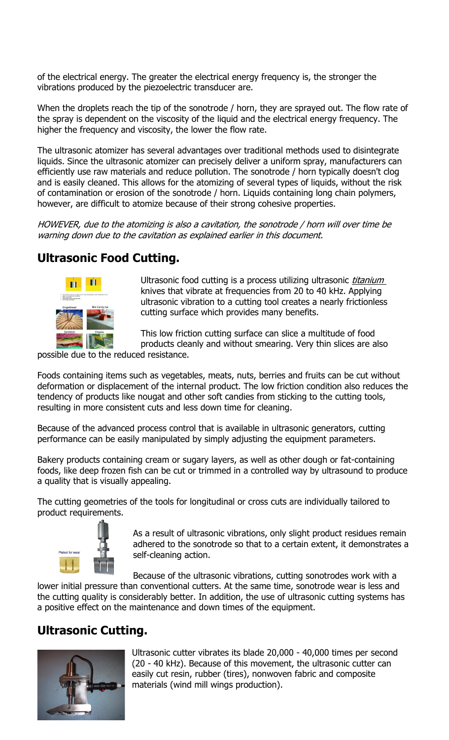of the electrical energy. The greater the electrical energy frequency is, the stronger the vibrations produced by the piezoelectric transducer are.

When the droplets reach the tip of the sonotrode / horn, they are sprayed out. The flow rate of the spray is dependent on the viscosity of the liquid and the electrical energy frequency. The higher the frequency and viscosity, the lower the flow rate.

The ultrasonic atomizer has several advantages over traditional methods used to disintegrate liquids. Since the ultrasonic atomizer can precisely deliver a uniform spray, manufacturers can efficiently use raw materials and reduce pollution. The sonotrode / horn typically doesn't clog and is easily cleaned. This allows for the atomizing of several types of liquids, without the risk of contamination or erosion of the sonotrode / horn. Liquids containing long chain polymers, however, are difficult to atomize because of their strong cohesive properties.

HOWEVER, due to the atomizing is also a cavitation, the sonotrode / horn will over time be warning down due to the cavitation as explained earlier in this document.

# **Ultrasonic Food Cutting.**



Ultrasonic food cutting is a process utilizing ultrasonic *titanium* knives that vibrate at frequencies from 20 to 40 kHz. Applying ultrasonic vibration to a cutting tool creates a nearly frictionless cutting surface which provides many benefits.

This low friction cutting surface can slice a multitude of food products cleanly and without smearing. Very thin slices are also

possible due to the reduced resistance.

Foods containing items such as vegetables, meats, nuts, berries and fruits can be cut without deformation or displacement of the internal product. The low friction condition also reduces the tendency of products like nougat and other soft candies from sticking to the cutting tools, resulting in more consistent cuts and less down time for cleaning.

Because of the advanced process control that is available in ultrasonic generators, cutting performance can be easily manipulated by simply adjusting the equipment parameters.

Bakery products containing cream or sugary layers, as well as other dough or fat-containing foods, like deep frozen fish can be cut or trimmed in a controlled way by ultrasound to produce a quality that is visually appealing.

The cutting geometries of the tools for longitudinal or cross cuts are individually tailored to product requirements.



As a result of ultrasonic vibrations, only slight product residues remain adhered to the sonotrode so that to a certain extent, it demonstrates a self-cleaning action.

Because of the ultrasonic vibrations, cutting sonotrodes work with a lower initial pressure than conventional cutters. At the same time, sonotrode wear is less and the cutting quality is considerably better. In addition, the use of ultrasonic cutting systems has a positive effect on the maintenance and down times of the equipment.

# **Ultrasonic Cutting.**



Ultrasonic cutter vibrates its blade 20,000 - 40,000 times per second (20 - 40 kHz). Because of this movement, the ultrasonic cutter can easily cut resin, rubber (tires), nonwoven fabric and composite materials (wind mill wings production).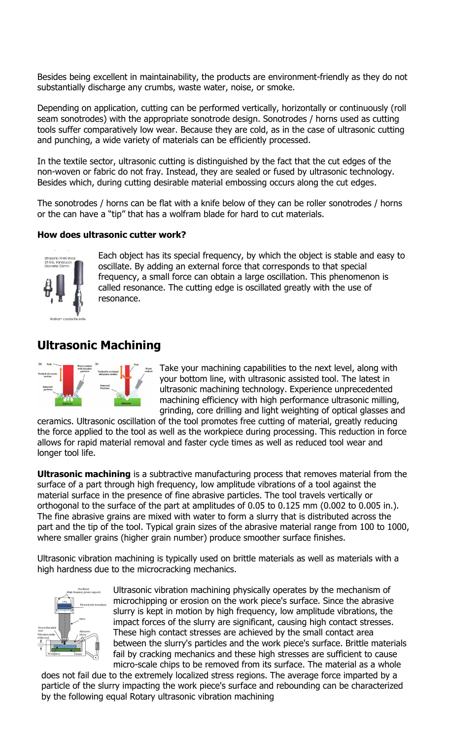Besides being excellent in maintainability, the products are environment-friendly as they do not substantially discharge any crumbs, waste water, noise, or smoke.

Depending on application, cutting can be performed vertically, horizontally or continuously (roll seam sonotrodes) with the appropriate sonotrode design. Sonotrodes / horns used as cutting tools suffer comparatively low wear. Because they are cold, as in the case of ultrasonic cutting and [punching,](https://sonotronic.de/technologies/ultrasonic/ultrasonic-punching) a wide variety of materials can be efficiently processed.

In the textile sector, ultrasonic cutting is distinguished by the fact that the cut edges of the non-woven or fabric do not fray. Instead, they are sealed or fused by ultrasonic technology. Besides which, during cutting desirable material embossing occurs along the cut edges.

The sonotrodes / horns can be flat with a knife below of they can be roller sonotrodes / horns or the can have a "tip" that has a wolfram blade for hard to cut materials.

#### **How does ultrasonic cutter work?**



Each object has its special frequency, by which the object is stable and easy to oscillate. By adding an external force that corresponds to that special frequency, a small force can obtain a large oscillation. This phenomenon is called resonance. The cutting edge is oscillated greatly with the use of resonance.

## **Ultrasonic Machining**



Take your machining capabilities to the next level, along with your bottom line, with ultrasonic assisted tool. The latest in ultrasonic machining technology. Experience unprecedented machining efficiency with high performance ultrasonic milling, grinding, core drilling and light weighting of optical glasses and

ceramics. Ultrasonic oscillation of the tool promotes free cutting of material, greatly reducing the force applied to the tool as well as the workpiece during processing. This reduction in force allows for rapid material removal and faster cycle times as well as reduced tool wear and longer tool life.

**Ultrasonic machining** is a subtractive manufacturing process that removes material from the surface of a part through high frequency, low amplitude vibrations of a tool against the material surface in the presence of fine abrasive particles. The tool travels vertically or orthogonal to the surface of the part at amplitudes of 0.05 to 0.125 mm (0.002 to 0.005 in.). The fine abrasive grains are mixed with water to form a slurry that is distributed across the part and the tip of the tool. Typical grain sizes of the abrasive material range from 100 to 1000, where smaller grains (higher grain number) produce smoother surface finishes.

Ultrasonic vibration machining is typically used on brittle materials as well as materials with a high hardness due to the microcracking mechanics.



Ultrasonic vibration machining physically operates by the mechanism of microchipping or erosion on the work piece's surface. Since the abrasive slurry is kept in motion by high frequency, low amplitude vibrations, the impact forces of the slurry are significant, causing high contact stresses. These high contact stresses are achieved by the small contact area between the slurry's particles and the work piece's surface. Brittle materials fail by cracking mechanics and these high stresses are sufficient to cause micro-scale chips to be removed from its surface. The material as a whole

does not fail due to the extremely localized stress regions. The average force imparted by a particle of the slurry impacting the work piece's surface and rebounding can be characterized by the following equal Rotary ultrasonic vibration machining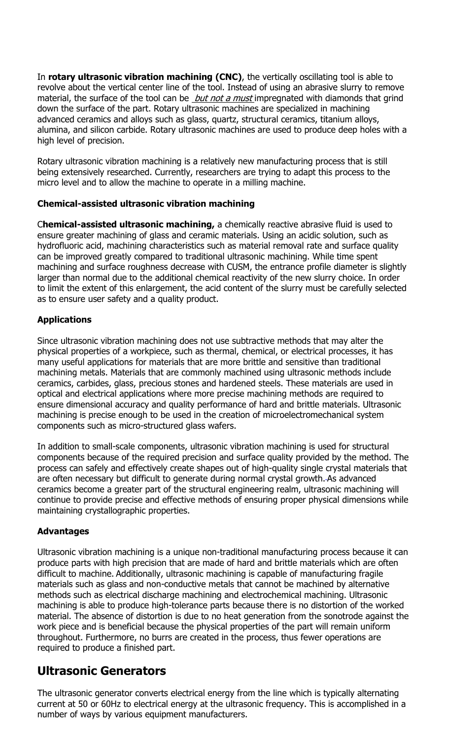In **rotary ultrasonic vibration machining (CNC)**, the vertically oscillating tool is able to revolve about the vertical center line of the tool. Instead of using an abrasive slurry to remove material, the surface of the tool can be *but not a must* impregnated with diamonds that grind down the surface of the part. Rotary ultrasonic machines are specialized in machining advanced ceramics and alloys such as [glass,](https://en.wikipedia.org/wiki/Glass) quartz, structural ceramics, titanium alloys, alumina, and silicon carbide. Rotary ultrasonic machines are used to produce deep holes with a high level of precision.

Rotary ultrasonic vibration machining is a relatively new manufacturing process that is still being extensively researched. Currently, researchers are trying to adapt this process to the micro level and to allow the machine to operate in a milling machine.

### **Chemical-assisted ultrasonic vibration machining**

C**hemical-assisted ultrasonic machining,** a chemically reactive abrasive fluid is used to ensure greater machining of glass and ceramic materials. Using an acidic solution, such as hydrofluoric acid, machining characteristics such as material removal rate and surface quality can be improved greatly compared to traditional ultrasonic machining. While time spent machining and surface roughness decrease with CUSM, the entrance profile diameter is slightly larger than normal due to the additional chemical reactivity of the new slurry choice. In order to limit the extent of this enlargement, the acid content of the slurry must be carefully selected as to ensure user safety and a quality product.

## **Applications**

Since ultrasonic vibration machining does not use subtractive methods that may alter the physical properties of a workpiece, such as thermal, chemical, or electrical processes, it has many useful applications for materials that are more brittle and sensitive than traditional machining metals. Materials that are commonly machined using ultrasonic methods include ceramics, carbides, glass, precious stones and hardened steels. These materials are used in optical and electrical applications where more precise machining methods are required to ensure dimensional accuracy and quality performance of hard and brittle materials. Ultrasonic machining is precise enough to be used in the creation of microelectromechanical system components such as micro-structured glass wafers.

In addition to small-scale components, ultrasonic vibration machining is used for structural components because of the required precision and surface quality provided by the method. The process can safely and effectively create shapes out of high-quality single crystal materials that are often necessary but difficult to generate during normal crystal growth. As advanced ceramics become a greater part of the structural engineering realm, ultrasonic machining will continue to provide precise and effective methods of ensuring proper physical dimensions while maintaining crystallographic properties.

## **Advantages**

Ultrasonic vibration machining is a unique non-traditional manufacturing process because it can produce parts with high precision that are made of hard and brittle materials which are often difficult to machine. Additionally, ultrasonic machining is capable of manufacturing fragile materials such as glass and non-conductive metals that cannot be machined by alternative methods such as electrical discharge machining and electrochemical machining. Ultrasonic machining is able to produce high-tolerance parts because there is no distortion of the worked material. The absence of distortion is due to no heat generation from the sonotrode against the work piece and is beneficial because the physical properties of the part will remain uniform throughout. Furthermore, no burrs are created in the process, thus fewer operations are required to produce a finished part.

# **Ultrasonic Generators**

The ultrasonic generator converts electrical energy from the line which is typically alternating current at 50 or 60Hz to electrical energy at the ultrasonic frequency. This is accomplished in a number of ways by various equipment manufacturers.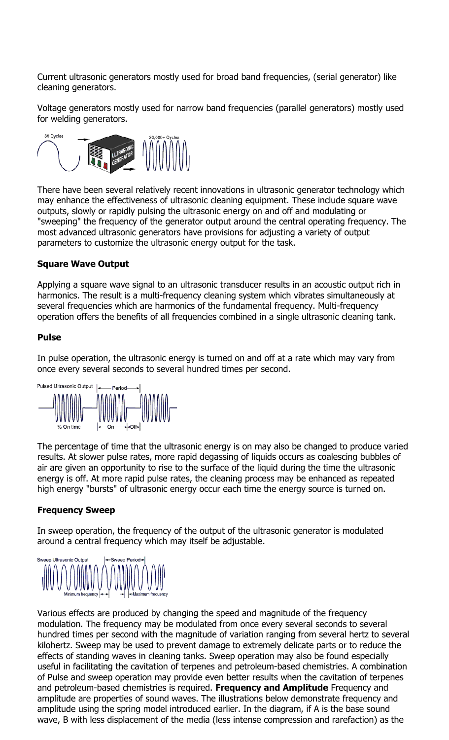Current ultrasonic generators mostly used for broad band frequencies, (serial generator) like cleaning generators.

Voltage generators mostly used for narrow band frequencies (parallel generators) mostly used for welding generators.



There have been several relatively recent innovations in ultrasonic generator technology which may enhance the effectiveness of ultrasonic cleaning equipment. These include square wave outputs, slowly or rapidly pulsing the ultrasonic energy on and off and modulating or "sweeping" the frequency of the generator output around the central operating frequency. The most advanced ultrasonic generators have provisions for adjusting a variety of output parameters to customize the ultrasonic energy output for the task.

## **Square Wave Output**

Applying a square wave signal to an ultrasonic transducer results in an acoustic output rich in harmonics. The result is a multi-frequency cleaning system which vibrates simultaneously at several frequencies which are harmonics of the fundamental frequency. Multi-frequency operation offers the benefits of all frequencies combined in a single ultrasonic cleaning tank.

#### **Pulse**

In pulse operation, the ultrasonic energy is turned on and off at a rate which may vary from once every several seconds to several hundred times per second.



The percentage of time that the ultrasonic energy is on may also be changed to produce varied results. At slower pulse rates, more rapid degassing of liquids occurs as coalescing bubbles of air are given an opportunity to rise to the surface of the liquid during the time the ultrasonic energy is off. At more rapid pulse rates, the cleaning process may be enhanced as repeated high energy "bursts" of ultrasonic energy occur each time the energy source is turned on.

#### **Frequency Sweep**

In sweep operation, the frequency of the output of the ultrasonic generator is modulated around a central frequency which may itself be adjustable.



Various effects are produced by changing the speed and magnitude of the frequency modulation. The frequency may be modulated from once every several seconds to several hundred times per second with the magnitude of variation ranging from several hertz to several kilohertz. Sweep may be used to prevent damage to extremely delicate parts or to reduce the effects of standing waves in cleaning tanks. Sweep operation may also be found especially useful in facilitating the cavitation of terpenes and petroleum-based chemistries. A combination of Pulse and sweep operation may provide even better results when the cavitation of terpenes and petroleum-based chemistries is required. **Frequency and Amplitude** Frequency and amplitude are properties of sound waves. The illustrations below demonstrate frequency and amplitude using the spring model introduced earlier. In the diagram, if A is the base sound wave, B with less displacement of the media (less intense compression and rarefaction) as the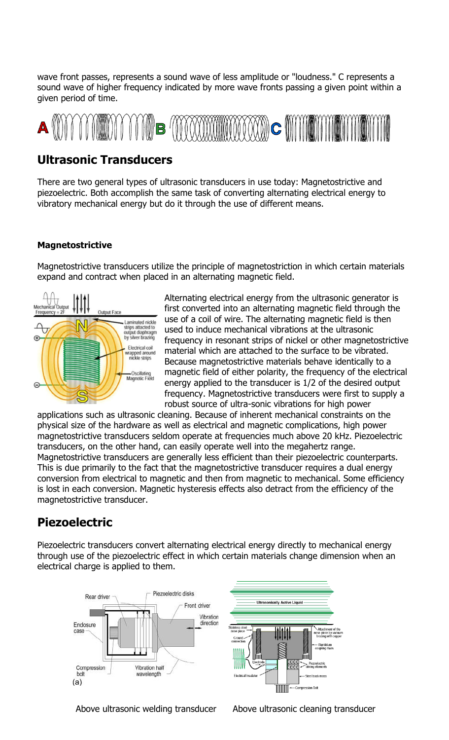wave front passes, represents a sound wave of less amplitude or "loudness." C represents a sound wave of higher frequency indicated by more wave fronts passing a given point within a given period of time.



## **Ultrasonic Transducers**

There are two general types of ultrasonic transducers in use today: Magnetostrictive and piezoelectric. Both accomplish the same task of converting alternating electrical energy to vibratory mechanical energy but do it through the use of different means.

### **Magnetostrictive**

Magnetostrictive transducers utilize the principle of magnetostriction in which certain materials expand and contract when placed in an alternating magnetic field.



Alternating electrical energy from the ultrasonic generator is first converted into an alternating magnetic field through the use of a coil of wire. The alternating magnetic field is then used to induce mechanical vibrations at the ultrasonic frequency in resonant strips of nickel or other magnetostrictive material which are attached to the surface to be vibrated. Because magnetostrictive materials behave identically to a magnetic field of either polarity, the frequency of the electrical energy applied to the transducer is 1/2 of the desired output frequency. Magnetostrictive transducers were first to supply a robust source of ultra-sonic vibrations for high power

applications such as ultrasonic cleaning. Because of inherent mechanical constraints on the physical size of the hardware as well as electrical and magnetic complications, high power magnetostrictive transducers seldom operate at frequencies much above 20 kHz. Piezoelectric transducers, on the other hand, can easily operate well into the megahertz range. Magnetostrictive transducers are generally less efficient than their piezoelectric counterparts. This is due primarily to the fact that the magnetostrictive transducer requires a dual energy conversion from electrical to magnetic and then from magnetic to mechanical. Some efficiency is lost in each conversion. Magnetic hysteresis effects also detract from the efficiency of the magnetostrictive transducer.

# **Piezoelectric**

Piezoelectric transducers convert alternating electrical energy directly to mechanical energy through use of the piezoelectric effect in which certain materials change dimension when an electrical charge is applied to them.



**ically Active Liquid** mm HIHH  $-c$ ssion Bolt 

Above ultrasonic welding transducer Above ultrasonic cleaning transducer